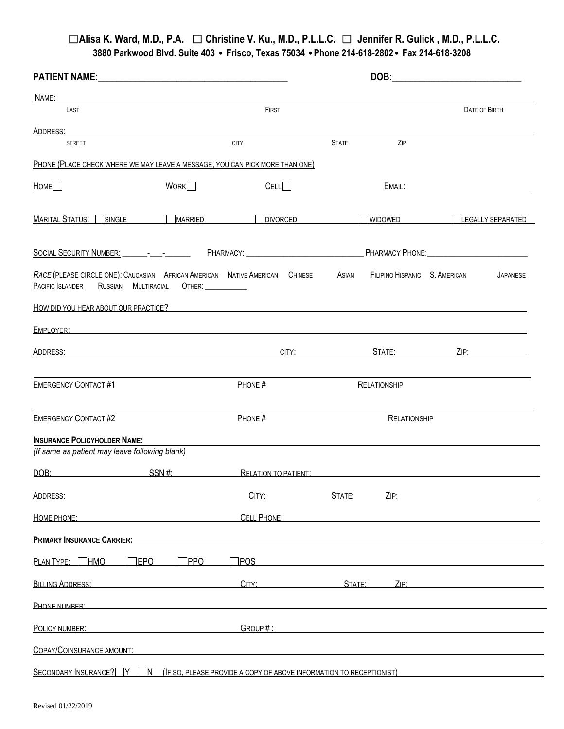| <b>PATIENT NAME:</b>                                                                                                           | <u> 1980 - Andrea Andrew Maria (h. 1980).</u>       | DOB:                |                                                                                                                                                                                                                                |
|--------------------------------------------------------------------------------------------------------------------------------|-----------------------------------------------------|---------------------|--------------------------------------------------------------------------------------------------------------------------------------------------------------------------------------------------------------------------------|
| NAME:<br>the control of the control of the control of the control of the control of the control of                             |                                                     |                     |                                                                                                                                                                                                                                |
| LAST                                                                                                                           | FIRST                                               |                     | DATE OF BIRTH                                                                                                                                                                                                                  |
| ADDRESS:                                                                                                                       |                                                     |                     |                                                                                                                                                                                                                                |
| <b>STREET</b>                                                                                                                  | <b>CITY</b>                                         | <b>STATE</b><br>ZIP |                                                                                                                                                                                                                                |
| PHONE (PLACE CHECK WHERE WE MAY LEAVE A MESSAGE, YOU CAN PICK MORE THAN ONE)                                                   |                                                     |                     |                                                                                                                                                                                                                                |
| Home                                                                                                                           | WORK <sup>I</sup><br>CELL                           |                     | EMAIL: The contract of the contract of the contract of the contract of the contract of the contract of the contract of the contract of the contract of the contract of the contract of the contract of the contract of the con |
| MARITAL STATUS: SINGLE MARRIED DIVORCED                                                                                        |                                                     | WIDOWED             | LEGALLY SEPARATED                                                                                                                                                                                                              |
|                                                                                                                                |                                                     |                     |                                                                                                                                                                                                                                |
| <b>RACE (PLEASE CIRCLE ONE): CAUCASIAN AFRICAN AMERICAN NATIVE AMERICAN CHINESE</b><br>PACIFIC ISLANDER<br>RUSSIAN MULTIRACIAL | <b>OTHER:</b>                                       | Asian               | FILIPINO HISPANIC S. AMERICAN<br><b>JAPANESE</b>                                                                                                                                                                               |
| HOW DID YOU HEAR ABOUT OUR PRACTICE?                                                                                           |                                                     |                     |                                                                                                                                                                                                                                |
| EMPLOYER:                                                                                                                      |                                                     |                     |                                                                                                                                                                                                                                |
| ADDRESS:                                                                                                                       | CITY:<br><u> 1980 - Johann John Stein, markin f</u> | STATE:              | ZIP:                                                                                                                                                                                                                           |
| <b>EMERGENCY CONTACT#1</b>                                                                                                     | PHONE#                                              | <b>RELATIONSHIP</b> |                                                                                                                                                                                                                                |
| <b>EMERGENCY CONTACT#2</b>                                                                                                     | PHONE#                                              | <b>RELATIONSHIP</b> |                                                                                                                                                                                                                                |
| <b>INSURANCE POLICYHOLDER NAME:</b>                                                                                            |                                                     |                     |                                                                                                                                                                                                                                |
| (If same as patient may leave following blank)                                                                                 |                                                     |                     |                                                                                                                                                                                                                                |
| SSN#<br>DOB:                                                                                                                   | RELATION TO PATIENT:                                |                     |                                                                                                                                                                                                                                |
| ADDRESS:                                                                                                                       | CITY:                                               | STATE:<br>ZIP:      |                                                                                                                                                                                                                                |
| HOME PHONE:                                                                                                                    | <b>CELL PHONE:</b>                                  |                     |                                                                                                                                                                                                                                |
| <b>PRIMARY INSURANCE CARRIER:</b>                                                                                              |                                                     |                     |                                                                                                                                                                                                                                |
| PLAN TYPE: THMO<br>$\Box$ EPO                                                                                                  | $\neg$ PPO<br>$T$ POS                               |                     |                                                                                                                                                                                                                                |
| <b>BILLING ADDRESS:</b>                                                                                                        | CITY:                                               | STATE:<br>ZIP:      |                                                                                                                                                                                                                                |
| PHONE NUMBER:                                                                                                                  |                                                     |                     |                                                                                                                                                                                                                                |
| POLICY NUMBER:                                                                                                                 | GROUP#:                                             |                     |                                                                                                                                                                                                                                |
| COPAY/COINSURANCE AMOUNT:                                                                                                      |                                                     |                     |                                                                                                                                                                                                                                |
| SECONDARY INSURANCE? W M (IF SO, PLEASE PROVIDE A COPY OF ABOVE INFORMATION TO RECEPTIONIST)                                   |                                                     |                     |                                                                                                                                                                                                                                |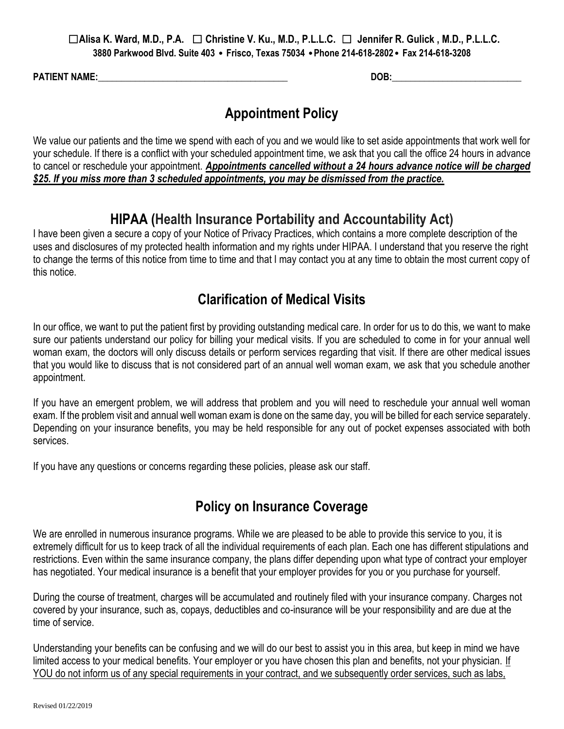**PATIENT NAME:** The contract of the contract of the contract of the contract of the contract of the contract of the contract of the contract of the contract of the contract of the contract of the contract of the contract o

# **Appointment Policy**

We value our patients and the time we spend with each of you and we would like to set aside appointments that work well for your schedule. If there is a conflict with your scheduled appointment time, we ask that you call the office 24 hours in advance to cancel or reschedule your appointment. *Appointments cancelled without a 24 hours advance notice will be charged \$25. If you miss more than 3 scheduled appointments, you may be dismissed from the practice.*

# **HIPAA (Health Insurance Portability and Accountability Act)**

I have been given a secure a copy of your Notice of Privacy Practices, which contains a more complete description of the uses and disclosures of my protected health information and my rights under HIPAA. I understand that you reserve the right to change the terms of this notice from time to time and that I may contact you at any time to obtain the most current copy of this notice.

# **Clarification of Medical Visits**

In our office, we want to put the patient first by providing outstanding medical care. In order for us to do this, we want to make sure our patients understand our policy for billing your medical visits. If you are scheduled to come in for your annual well woman exam, the doctors will only discuss details or perform services regarding that visit. If there are other medical issues that you would like to discuss that is not considered part of an annual well woman exam, we ask that you schedule another appointment.

If you have an emergent problem, we will address that problem and you will need to reschedule your annual well woman exam. If the problem visit and annual well woman exam is done on the same day, you will be billed for each service separately. Depending on your insurance benefits, you may be held responsible for any out of pocket expenses associated with both services.

If you have any questions or concerns regarding these policies, please ask our staff.

# **Policy on Insurance Coverage**

We are enrolled in numerous insurance programs. While we are pleased to be able to provide this service to you, it is extremely difficult for us to keep track of all the individual requirements of each plan. Each one has different stipulations and restrictions. Even within the same insurance company, the plans differ depending upon what type of contract your employer has negotiated. Your medical insurance is a benefit that your employer provides for you or you purchase for yourself.

During the course of treatment, charges will be accumulated and routinely filed with your insurance company. Charges not covered by your insurance, such as, copays, deductibles and co-insurance will be your responsibility and are due at the time of service.

Understanding your benefits can be confusing and we will do our best to assist you in this area, but keep in mind we have limited access to your medical benefits. Your employer or you have chosen this plan and benefits, not your physician. If YOU do not inform us of any special requirements in your contract, and we subsequently order services, such as labs,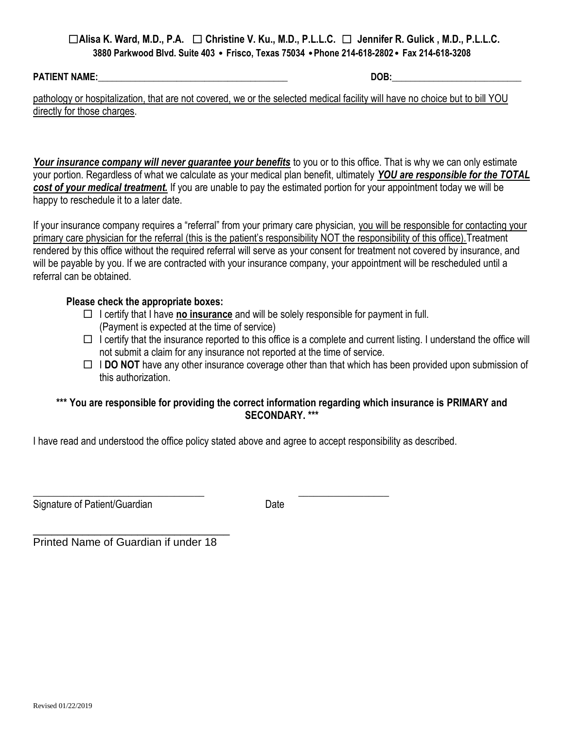**PATIENT NAME:** The contract of the contract of the contract of the contract of the contract of the contract of the contract of the contract of the contract of the contract of the contract of the contract of the contract o

pathology or hospitalization, that are not covered, we or the selected medical facility will have no choice but to bill YOU directly for those charges.

Your *insurance company will never guarantee your benefits* to you or to this office. That is why we can only estimate your portion. Regardless of what we calculate as your medical plan benefit, ultimately *YOU are responsible for the TOTAL cost of your medical treatment.* If you are unable to pay the estimated portion for your appointment today we will be happy to reschedule it to a later date.

If your insurance company requires a "referral" from your primary care physician, you will be responsible for contacting your primary care physician for the referral (this is the patient's responsibility NOT the responsibility of this office).Treatment rendered by this office without the required referral will serve as your consent for treatment not covered by insurance, and will be payable by you. If we are contracted with your insurance company, your appointment will be rescheduled until a referral can be obtained.

### **Please check the appropriate boxes:**

- $\Box$  I certify that I have **no insurance** and will be solely responsible for payment in full. (Payment is expected at the time of service)
- $\Box$  I certify that the insurance reported to this office is a complete and current listing. I understand the office will not submit a claim for any insurance not reported at the time of service.
- $\Box$  **I DO NOT** have any other insurance coverage other than that which has been provided upon submission of this authorization.

### **\*\*\* You are responsible for providing the correct information regarding which insurance is PRIMARY and SECONDARY. \*\*\***

I have read and understood the office policy stated above and agree to accept responsibility as described.

 $\overline{\phantom{a}}$  , and the contract of the contract of the contract of the contract of the contract of the contract of the contract of the contract of the contract of the contract of the contract of the contract of the contrac

Signature of Patient/Guardian Date

\_\_\_\_\_\_\_\_\_\_\_\_\_\_\_\_\_\_\_\_\_\_\_\_\_\_\_\_\_\_\_\_ Printed Name of Guardian if under 18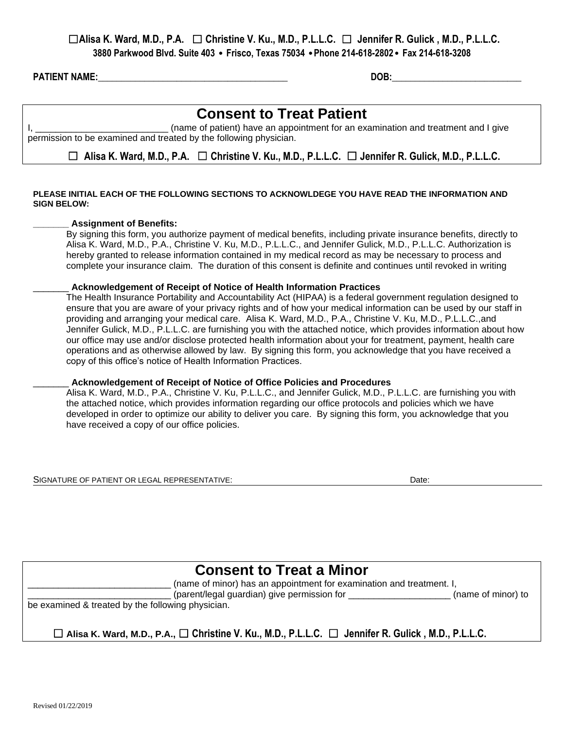**PATIENT NAME:** The contract of the contract of the contract of the contract of the contract of the contract of the contract of the contract of the contract of the contract of the contract of the contract of the contract o

# **Consent to Treat Patient**

I, \_\_\_\_\_\_\_\_\_\_\_\_\_\_\_\_\_\_\_\_\_\_\_\_\_\_\_\_\_\_\_\_\_ (name of patient) have an appointment for an examination and treatment and I give permission to be examined and treated by the following physician.

☐ **Alisa K. Ward, M.D., P.A.** ☐ **Christine V. Ku., M.D., P.L.L.C.** ☐ **Jennifer R. Gulick, M.D., P.L.L.C.**

#### **PLEASE INITIAL EACH OF THE FOLLOWING SECTIONS TO ACKNOWLDEGE YOU HAVE READ THE INFORMATION AND SIGN BELOW:**

#### **\_\_\_\_\_\_\_ Assignment of Benefits:**

By signing this form, you authorize payment of medical benefits, including private insurance benefits, directly to Alisa K. Ward, M.D., P.A., Christine V. Ku, M.D., P.L.L.C., and Jennifer Gulick, M.D., P.L.L.C. Authorization is hereby granted to release information contained in my medical record as may be necessary to process and complete your insurance claim. The duration of this consent is definite and continues until revoked in writing

#### \_\_\_\_\_\_\_ **Acknowledgement of Receipt of Notice of Health Information Practices**

The Health Insurance Portability and Accountability Act (HIPAA) is a federal government regulation designed to ensure that you are aware of your privacy rights and of how your medical information can be used by our staff in providing and arranging your medical care. Alisa K. Ward, M.D., P.A., Christine V. Ku, M.D., P.L.L.C.,and Jennifer Gulick, M.D., P.L.L.C. are furnishing you with the attached notice, which provides information about how our office may use and/or disclose protected health information about your for treatment, payment, health care operations and as otherwise allowed by law. By signing this form, you acknowledge that you have received a copy of this office's notice of Health Information Practices.

#### \_\_\_\_\_\_\_ **Acknowledgement of Receipt of Notice of Office Policies and Procedures**

Alisa K. Ward, M.D., P.A., Christine V. Ku, P.L.L.C., and Jennifer Gulick, M.D., P.L.L.C. are furnishing you with the attached notice, which provides information regarding our office protocols and policies which we have developed in order to optimize our ability to deliver you care. By signing this form, you acknowledge that you have received a copy of our office policies.

SIGNATURE OF PATIENT OR LEGAL REPRESENTATIVE: **Date:** Date: Date: Date:

|                                                                                                                     | <b>Consent to Treat a Minor</b>                                      |                    |
|---------------------------------------------------------------------------------------------------------------------|----------------------------------------------------------------------|--------------------|
|                                                                                                                     | (name of minor) has an appointment for examination and treatment. I, |                    |
|                                                                                                                     | (parent/legal guardian) give permission for                          | (name of minor) to |
| be examined & treated by the following physician.                                                                   |                                                                      |                    |
|                                                                                                                     |                                                                      |                    |
| $\Box$ Alisa K. Ward, M.D., P.A., $\Box$ Christine V. Ku., M.D., P.L.L.C. $\Box$ Jennifer R. Gulick, M.D., P.L.L.C. |                                                                      |                    |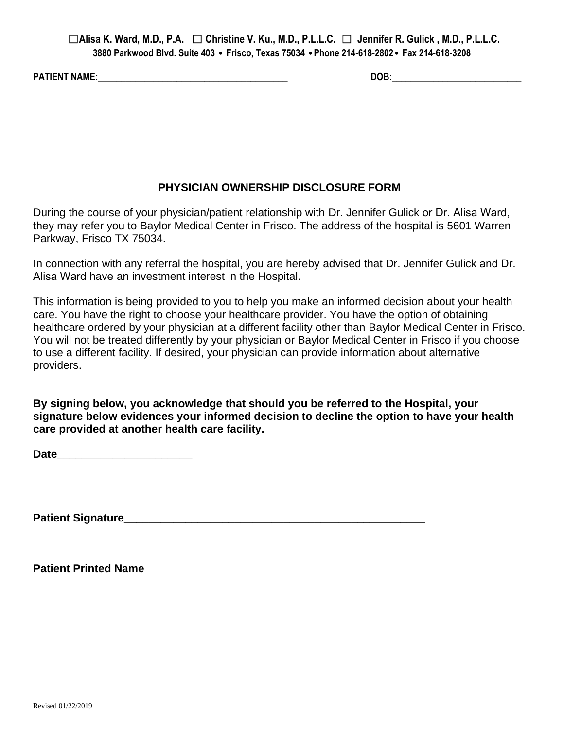**PATIENT NAME:\_\_\_\_\_\_\_\_\_\_\_\_\_\_\_\_\_\_\_\_\_\_\_\_\_\_\_\_\_\_\_\_\_\_\_\_\_\_\_\_\_ DOB:\_\_\_\_\_\_\_\_\_\_\_\_\_\_\_\_\_\_\_\_\_\_\_\_\_\_\_\_**

## **PHYSICIAN OWNERSHIP DISCLOSURE FORM**

During the course of your physician/patient relationship with Dr. Jennifer Gulick or Dr. Alisa Ward, they may refer you to Baylor Medical Center in Frisco. The address of the hospital is 5601 Warren Parkway, Frisco TX 75034.

In connection with any referral the hospital, you are hereby advised that Dr. Jennifer Gulick and Dr. Alisa Ward have an investment interest in the Hospital.

This information is being provided to you to help you make an informed decision about your health care. You have the right to choose your healthcare provider. You have the option of obtaining healthcare ordered by your physician at a different facility other than Baylor Medical Center in Frisco. You will not be treated differently by your physician or Baylor Medical Center in Frisco if you choose to use a different facility. If desired, your physician can provide information about alternative providers.

**By signing below, you acknowledge that should you be referred to the Hospital, your signature below evidences your informed decision to decline the option to have your health care provided at another health care facility.** 

**Date\_\_\_\_\_\_\_\_\_\_\_\_\_\_\_\_\_\_\_\_\_\_** 

**Patient Signature\_\_\_\_\_\_\_\_\_\_\_\_\_\_\_\_\_\_\_\_\_\_\_\_\_\_\_\_\_\_\_\_\_\_\_\_\_\_\_\_\_\_\_\_\_\_\_\_\_** 

Patient Printed Name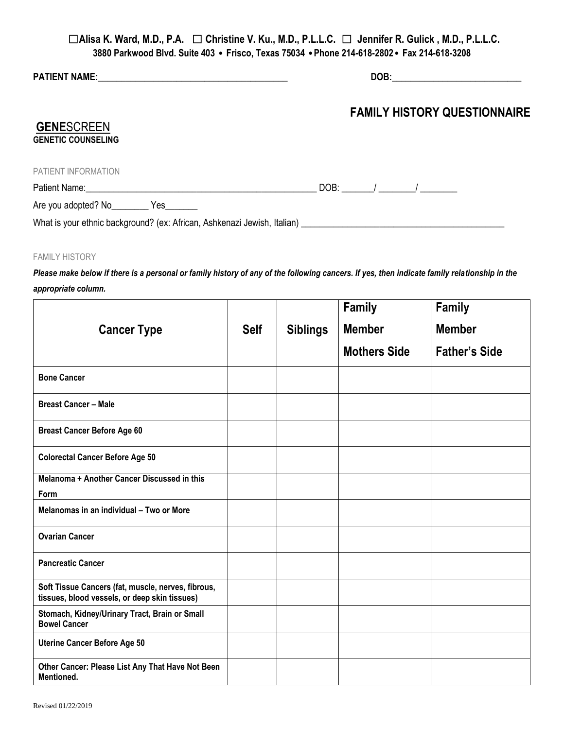| <b>GENESCREEN</b><br><b>GENETIC COUNSELING</b>                                                                 | <b>FAMILY HISTORY QUESTIONNAIRE</b> |
|----------------------------------------------------------------------------------------------------------------|-------------------------------------|
| PATIENT INFORMATION                                                                                            |                                     |
| Patient Name: 1990 and 200 and 200 and 200 and 200 and 200 and 200 and 200 and 200 and 200 and 200 and 200 and |                                     |
| Are you adopted? No ____________ Yes ________                                                                  |                                     |
|                                                                                                                |                                     |

#### FAMILY HISTORY

*Please make below if there is a personal or family history of any of the following cancers. If yes, then indicate family relationship in the appropriate column.*

|                                                                                                     |             |                 | Family              | <b>Family</b>        |
|-----------------------------------------------------------------------------------------------------|-------------|-----------------|---------------------|----------------------|
| <b>Cancer Type</b>                                                                                  | <b>Self</b> | <b>Siblings</b> | <b>Member</b>       | <b>Member</b>        |
|                                                                                                     |             |                 | <b>Mothers Side</b> | <b>Father's Side</b> |
| <b>Bone Cancer</b>                                                                                  |             |                 |                     |                      |
| <b>Breast Cancer - Male</b>                                                                         |             |                 |                     |                      |
| <b>Breast Cancer Before Age 60</b>                                                                  |             |                 |                     |                      |
| <b>Colorectal Cancer Before Age 50</b>                                                              |             |                 |                     |                      |
| Melanoma + Another Cancer Discussed in this                                                         |             |                 |                     |                      |
| Form                                                                                                |             |                 |                     |                      |
| Melanomas in an individual - Two or More                                                            |             |                 |                     |                      |
| <b>Ovarian Cancer</b>                                                                               |             |                 |                     |                      |
| <b>Pancreatic Cancer</b>                                                                            |             |                 |                     |                      |
| Soft Tissue Cancers (fat, muscle, nerves, fibrous,<br>tissues, blood vessels, or deep skin tissues) |             |                 |                     |                      |
| Stomach, Kidney/Urinary Tract, Brain or Small<br><b>Bowel Cancer</b>                                |             |                 |                     |                      |
| <b>Uterine Cancer Before Age 50</b>                                                                 |             |                 |                     |                      |
| Other Cancer: Please List Any That Have Not Been<br>Mentioned.                                      |             |                 |                     |                      |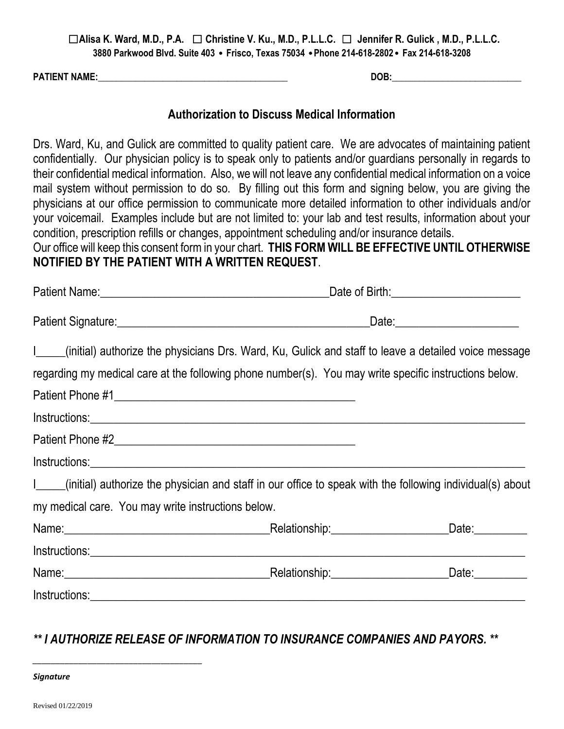**PATIENT NAME:\_\_\_\_\_\_\_\_\_\_\_\_\_\_\_\_\_\_\_\_\_\_\_\_\_\_\_\_\_\_\_\_\_\_\_\_\_\_\_\_\_ DOB:\_\_\_\_\_\_\_\_\_\_\_\_\_\_\_\_\_\_\_\_\_\_\_\_\_\_\_\_**

## **Authorization to Discuss Medical Information**

Drs. Ward, Ku, and Gulick are committed to quality patient care. We are advocates of maintaining patient confidentially. Our physician policy is to speak only to patients and/or guardians personally in regards to their confidential medical information. Also, we will not leave any confidential medical information on a voice mail system without permission to do so. By filling out this form and signing below, you are giving the physicians at our office permission to communicate more detailed information to other individuals and/or your voicemail. Examples include but are not limited to: your lab and test results, information about your condition, prescription refills or changes, appointment scheduling and/or insurance details.

Our office will keep this consent form in your chart. **THIS FORM WILL BE EFFECTIVE UNTIL OTHERWISE NOTIFIED BY THE PATIENT WITH A WRITTEN REQUEST**.

|                                                                                                                | _Date:_________________________ |
|----------------------------------------------------------------------------------------------------------------|---------------------------------|
| I____(initial) authorize the physicians Drs. Ward, Ku, Gulick and staff to leave a detailed voice message      |                                 |
| regarding my medical care at the following phone number(s). You may write specific instructions below.         |                                 |
|                                                                                                                |                                 |
|                                                                                                                |                                 |
|                                                                                                                |                                 |
|                                                                                                                |                                 |
| I____(initial) authorize the physician and staff in our office to speak with the following individual(s) about |                                 |
| my medical care. You may write instructions below.                                                             |                                 |
|                                                                                                                |                                 |
|                                                                                                                |                                 |
|                                                                                                                |                                 |
|                                                                                                                |                                 |

# *\*\* I AUTHORIZE RELEASE OF INFORMATION TO INSURANCE COMPANIES AND PAYORS. \*\**

| <b>Signature</b> |  |
|------------------|--|
|------------------|--|

*\_\_\_\_\_\_\_\_\_\_\_\_\_\_\_\_\_\_\_\_\_\_\_\_\_\_\_\_\_\_\_\_\_\_\_\_\_*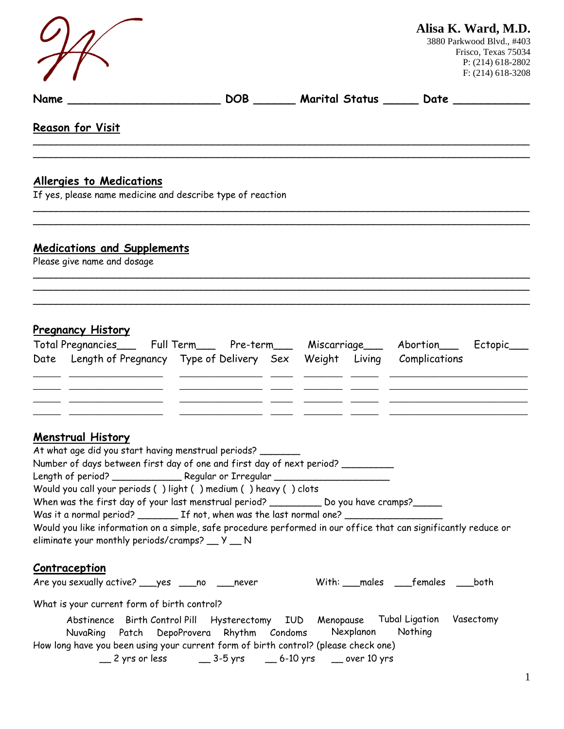|                                                                                                                                                                                                                                                                                                                                                                                                                                                                                                                                                                                                   |                                                                                                                                          | Alisa K. Ward, M.D.<br>3880 Parkwood Blvd., #403<br>Frisco, Texas 75034<br>P: (214) 618-2802<br>$F: (214) 618 - 3208$ |
|---------------------------------------------------------------------------------------------------------------------------------------------------------------------------------------------------------------------------------------------------------------------------------------------------------------------------------------------------------------------------------------------------------------------------------------------------------------------------------------------------------------------------------------------------------------------------------------------------|------------------------------------------------------------------------------------------------------------------------------------------|-----------------------------------------------------------------------------------------------------------------------|
| Name                                                                                                                                                                                                                                                                                                                                                                                                                                                                                                                                                                                              |                                                                                                                                          | DOB _____ Marital Status ______ Date _________                                                                        |
| Reason for Visit                                                                                                                                                                                                                                                                                                                                                                                                                                                                                                                                                                                  |                                                                                                                                          |                                                                                                                       |
| <b>Allergies to Medications</b><br>If yes, please name medicine and describe type of reaction                                                                                                                                                                                                                                                                                                                                                                                                                                                                                                     |                                                                                                                                          |                                                                                                                       |
| <b>Medications and Supplements</b><br>Please give name and dosage                                                                                                                                                                                                                                                                                                                                                                                                                                                                                                                                 |                                                                                                                                          |                                                                                                                       |
| <b>Pregnancy History</b><br>Total Pregnancies____ Full Term____ Pre-term___ Miscarriage___ Abortion___ Ectopic_<br>Date Length of Pregnancy Type of Delivery Sex Weight Living Complications                                                                                                                                                                                                                                                                                                                                                                                                      |                                                                                                                                          |                                                                                                                       |
| <b>Menstrual History</b><br>At what age did you start having menstrual periods?<br>Number of days between first day of one and first day of next period? __________<br>Length of period? ________________ Regular or Irregular ________________________<br>Would you call your periods () light () medium () heavy () clots<br>When was the first day of your last menstrual period? ___________ Do you have cramps?______<br>Would you like information on a simple, safe procedure performed in our office that can significantly reduce or<br>eliminate your monthly periods/cramps? __ Y __ N |                                                                                                                                          |                                                                                                                       |
| <b>Contraception</b><br>Are you sexually active? ___ yes ___ no ___ never                                                                                                                                                                                                                                                                                                                                                                                                                                                                                                                         |                                                                                                                                          | With: __males ____females ____both                                                                                    |
| What is your current form of birth control?<br>How long have you been using your current form of birth control? (please check one)                                                                                                                                                                                                                                                                                                                                                                                                                                                                | Abstinence Birth Control Pill Hysterectomy IUD Menopause Tubal Ligation Vasectomy<br>NuvaRing Patch DepoProvera Rhythm Condoms Nexplanon | Nothing                                                                                                               |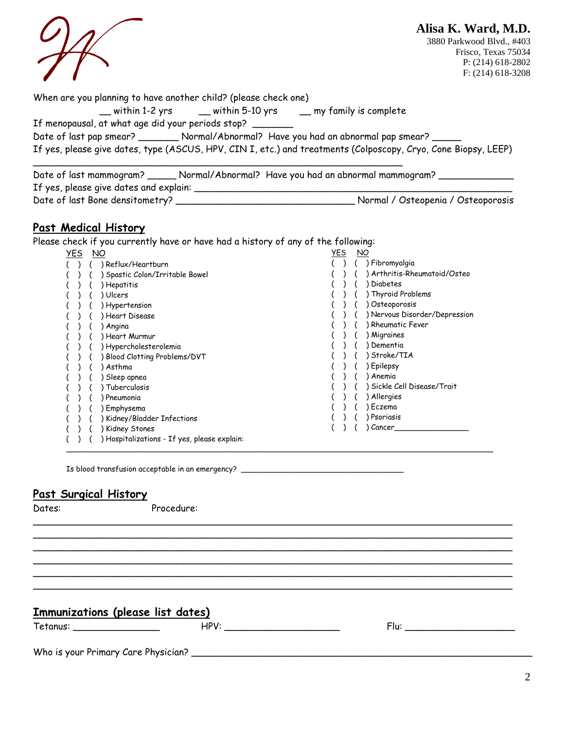|                                                                                                                                     | Alisa K. Ward, M.D.<br>3880 Parkwood Blvd., #403<br>Frisco, Texas 75034<br>P: $(214)$ 618-2802<br>$F: (214) 618 - 3208$ |
|-------------------------------------------------------------------------------------------------------------------------------------|-------------------------------------------------------------------------------------------------------------------------|
| When are you planning to have another child? (please check one)<br>_ within 1-2 yrs ____ within 5-10 yrs ____ my family is complete |                                                                                                                         |
| If menopausal, at what age did your periods stop?                                                                                   |                                                                                                                         |
| Date of last pap smear? _________ Normal/Abnormal? Have you had an abnormal pap smear? _____                                        |                                                                                                                         |
| If yes, please give dates, type (ASCUS, HPV, CIN I, etc.) and treatments (Colposcopy, Cryo, Cone Biopsy, LEEP)                      |                                                                                                                         |
| Date of last mammogram? _______ Normal/Abnormal? Have you had an abnormal mammogram? ____<br>If yes, please give dates and explain: |                                                                                                                         |

Date of last Bone densitometry? \_\_\_\_\_\_\_\_\_\_\_\_\_\_\_\_\_\_\_\_\_\_\_\_\_\_\_\_\_\_\_ Normal / Osteopenia / Osteoporosis

# **Past Medical History**

Please check if you currently have or have had a history of any of the following:

| <u>yes</u> | ΝO                                         | <u>YES</u> |  | NO                            |
|------------|--------------------------------------------|------------|--|-------------------------------|
|            | Reflux/Heartburn                           |            |  | ) Fibromyalgia                |
|            | Spastic Colon/Irritable Bowel              |            |  | Arthritis-Rheumatoid/Osteo    |
|            | ) Hepatitis                                |            |  | Diabetes                      |
|            | ) Ulcers                                   |            |  | ) Thyroid Problems            |
|            | Hypertension                               |            |  | Osteoporosis                  |
|            | ) Heart Disease                            |            |  | ) Nervous Disorder/Depression |
|            | Angina                                     |            |  | <b>Rheumatic Fever</b>        |
|            | Heart Murmur                               |            |  | Migraines                     |
|            | ) Hypercholesterolemia                     |            |  | Dementia                      |
|            | Blood Clotting Problems/DVT                |            |  | Stroke/TIA                    |
|            | Asthma                                     |            |  | Epilepsy                      |
|            | Sleep apnea                                |            |  | Anemia                        |
|            | Tuberculosis                               |            |  | ) Sickle Cell Disease/Trait   |
|            | Pneumonia                                  |            |  | Allergies                     |
|            | Emphysema                                  |            |  | Eczema                        |
|            | Kidney/Bladder Infections                  |            |  | Psoriasis                     |
|            | Kidney Stones                              |            |  | Cancer                        |
|            | Hospitalizations - If yes, please explain: |            |  |                               |

\_\_\_\_\_\_\_\_\_\_\_\_\_\_\_\_\_\_\_\_\_\_\_\_\_\_\_\_\_\_\_\_\_\_\_\_\_\_\_\_\_\_\_\_\_\_\_\_\_\_\_\_\_\_\_\_\_\_\_\_\_\_\_\_\_\_\_\_\_\_\_\_\_\_\_\_\_\_\_\_\_\_\_ \_\_\_\_\_\_\_\_\_\_\_\_\_\_\_\_\_\_\_\_\_\_\_\_\_\_\_\_\_\_\_\_\_\_\_\_\_\_\_\_\_\_\_\_\_\_\_\_\_\_\_\_\_\_\_\_\_\_\_\_\_\_\_\_\_\_\_\_\_\_\_\_\_\_\_\_\_\_\_\_\_\_\_ \_\_\_\_\_\_\_\_\_\_\_\_\_\_\_\_\_\_\_\_\_\_\_\_\_\_\_\_\_\_\_\_\_\_\_\_\_\_\_\_\_\_\_\_\_\_\_\_\_\_\_\_\_\_\_\_\_\_\_\_\_\_\_\_\_\_\_\_\_\_\_\_\_\_\_\_\_\_\_\_\_\_\_ \_\_\_\_\_\_\_\_\_\_\_\_\_\_\_\_\_\_\_\_\_\_\_\_\_\_\_\_\_\_\_\_\_\_\_\_\_\_\_\_\_\_\_\_\_\_\_\_\_\_\_\_\_\_\_\_\_\_\_\_\_\_\_\_\_\_\_\_\_\_\_\_\_\_\_\_\_\_\_\_\_\_\_ \_\_\_\_\_\_\_\_\_\_\_\_\_\_\_\_\_\_\_\_\_\_\_\_\_\_\_\_\_\_\_\_\_\_\_\_\_\_\_\_\_\_\_\_\_\_\_\_\_\_\_\_\_\_\_\_\_\_\_\_\_\_\_\_\_\_\_\_\_\_\_\_\_\_\_\_\_\_\_\_\_\_\_ \_\_\_\_\_\_\_\_\_\_\_\_\_\_\_\_\_\_\_\_\_\_\_\_\_\_\_\_\_\_\_\_\_\_\_\_\_\_\_\_\_\_\_\_\_\_\_\_\_\_\_\_\_\_\_\_\_\_\_\_\_\_\_\_\_\_\_\_\_\_\_\_\_\_\_\_\_\_\_\_\_\_\_

\_\_\_\_\_\_\_\_\_\_\_\_\_\_\_\_\_\_\_\_\_\_\_\_\_\_\_\_\_\_\_\_\_\_\_\_\_\_\_\_\_\_\_\_\_\_\_\_\_\_\_\_\_\_\_\_\_\_\_\_\_\_\_\_\_\_\_\_\_\_\_\_\_\_\_\_\_\_\_\_\_\_\_\_\_\_\_\_\_\_\_\_

Is blood transfusion acceptable in an emergency? \_\_\_\_\_\_\_\_\_\_\_\_\_\_\_\_\_\_\_\_\_\_\_\_\_\_\_\_\_\_\_

## **Past Surgical History**

| r<br>× |
|--------|
|--------|

Procedure:

## **Immunizations (please list dates)**

Tetanus: \_\_\_\_\_\_\_\_\_\_\_\_\_\_\_ HPV: \_\_\_\_\_\_\_\_\_\_\_\_\_\_\_\_\_\_\_\_ Flu: \_\_\_\_\_\_\_\_\_\_\_\_\_\_\_\_\_\_\_

Who is your Primary Care Physician? \_\_\_\_\_\_\_\_\_\_\_\_\_\_\_\_\_\_\_\_\_\_\_\_\_\_\_\_\_\_\_\_\_\_\_\_\_\_\_\_\_\_\_\_\_\_\_\_\_\_\_\_\_\_\_\_\_\_\_